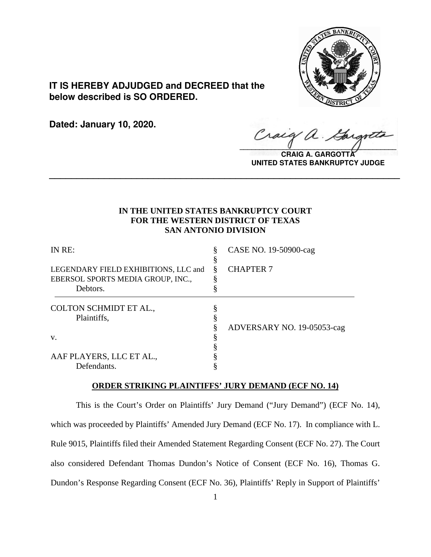

# **IT IS HEREBY ADJUDGED and DECREED that the below described is SO ORDERED.**

**Dated: January 10, 2020.**

Craig  $\sqrt{2}$ 

**CRAIG A. GARGOTT UNITED STATES BANKRUPTCY JUDGE**

## **IN THE UNITED STATES BANKRUPTCY COURT FOR THE WESTERN DISTRICT OF TEXAS SAN ANTONIO DIVISION**

**\_\_\_\_\_\_\_\_\_\_\_\_\_\_\_\_\_\_\_\_\_\_\_\_\_\_\_\_\_\_\_\_\_\_\_\_\_\_\_\_\_\_\_\_\_\_\_\_\_\_\_\_\_\_\_\_\_\_\_\_\_\_\_\_**

| IN RE:                                                                    | §      | CASE NO. 19-50900-cag      |
|---------------------------------------------------------------------------|--------|----------------------------|
| LEGENDARY FIELD EXHIBITIONS, LLC and<br>EBERSOL SPORTS MEDIA GROUP, INC., | Š<br>δ | <b>CHAPTER 7</b>           |
| Debtors.                                                                  |        |                            |
| COLTON SCHMIDT ET AL.,                                                    |        |                            |
| Plaintiffs,                                                               |        |                            |
|                                                                           |        | ADVERSARY NO. 19-05053-cag |
| V.                                                                        |        |                            |
|                                                                           |        |                            |
| AAF PLAYERS, LLC ET AL.,                                                  |        |                            |
| Defendants.                                                               |        |                            |

## **ORDER STRIKING PLAINTIFFS' JURY DEMAND (ECF NO. 14)**

This is the Court's Order on Plaintiffs' Jury Demand ("Jury Demand") (ECF No. 14), which was proceeded by Plaintiffs' Amended Jury Demand (ECF No. 17). In compliance with L. Rule 9015, Plaintiffs filed their Amended Statement Regarding Consent (ECF No. 27). The Court also considered Defendant Thomas Dundon's Notice of Consent (ECF No. 16), Thomas G. Dundon's Response Regarding Consent (ECF No. 36), Plaintiffs' Reply in Support of Plaintiffs'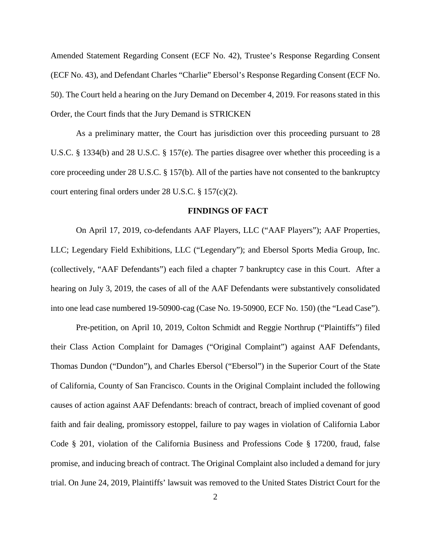Amended Statement Regarding Consent (ECF No. 42), Trustee's Response Regarding Consent (ECF No. 43), and Defendant Charles "Charlie" Ebersol's Response Regarding Consent (ECF No. 50). The Court held a hearing on the Jury Demand on December 4, 2019. For reasons stated in this Order, the Court finds that the Jury Demand is STRICKEN

As a preliminary matter, the Court has jurisdiction over this proceeding pursuant to 28 U.S.C. § 1334(b) and 28 U.S.C. § 157(e). The parties disagree over whether this proceeding is a core proceeding under 28 U.S.C. § 157(b). All of the parties have not consented to the bankruptcy court entering final orders under 28 U.S.C. § 157(c)(2).

## **FINDINGS OF FACT**

On April 17, 2019, co-defendants AAF Players, LLC ("AAF Players"); AAF Properties, LLC; Legendary Field Exhibitions, LLC ("Legendary"); and Ebersol Sports Media Group, Inc. (collectively, "AAF Defendants") each filed a chapter 7 bankruptcy case in this Court. After a hearing on July 3, 2019, the cases of all of the AAF Defendants were substantively consolidated into one lead case numbered 19-50900-cag (Case No. 19-50900, ECF No. 150) (the "Lead Case").

Pre-petition, on April 10, 2019, Colton Schmidt and Reggie Northrup ("Plaintiffs") filed their Class Action Complaint for Damages ("Original Complaint") against AAF Defendants, Thomas Dundon ("Dundon"), and Charles Ebersol ("Ebersol") in the Superior Court of the State of California, County of San Francisco. Counts in the Original Complaint included the following causes of action against AAF Defendants: breach of contract, breach of implied covenant of good faith and fair dealing, promissory estoppel, failure to pay wages in violation of California Labor Code § 201, violation of the California Business and Professions Code § 17200, fraud, false promise, and inducing breach of contract. The Original Complaint also included a demand for jury trial. On June 24, 2019, Plaintiffs' lawsuit was removed to the United States District Court for the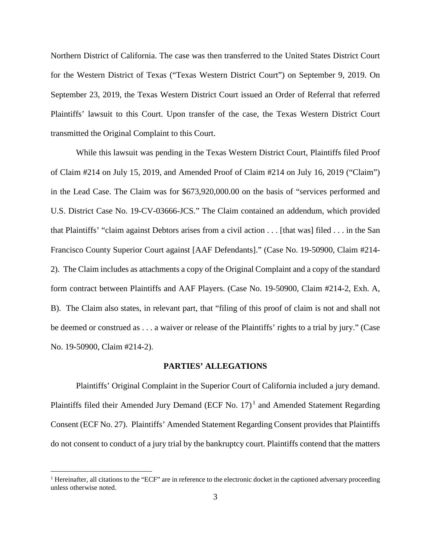Northern District of California. The case was then transferred to the United States District Court for the Western District of Texas ("Texas Western District Court") on September 9, 2019. On September 23, 2019, the Texas Western District Court issued an Order of Referral that referred Plaintiffs' lawsuit to this Court. Upon transfer of the case, the Texas Western District Court transmitted the Original Complaint to this Court.

While this lawsuit was pending in the Texas Western District Court, Plaintiffs filed Proof of Claim #214 on July 15, 2019, and Amended Proof of Claim #214 on July 16, 2019 ("Claim") in the Lead Case. The Claim was for \$673,920,000.00 on the basis of "services performed and U.S. District Case No. 19-CV-03666-JCS." The Claim contained an addendum, which provided that Plaintiffs' "claim against Debtors arises from a civil action . . . [that was] filed . . . in the San Francisco County Superior Court against [AAF Defendants]." (Case No. 19-50900, Claim #214- 2). The Claim includes as attachments a copy of the Original Complaint and a copy of the standard form contract between Plaintiffs and AAF Players. (Case No. 19-50900, Claim #214-2, Exh. A, B). The Claim also states, in relevant part, that "filing of this proof of claim is not and shall not be deemed or construed as . . . a waiver or release of the Plaintiffs' rights to a trial by jury." (Case No. 19-50900, Claim #214-2).

#### **PARTIES' ALLEGATIONS**

Plaintiffs' Original Complaint in the Superior Court of California included a jury demand. Plaintiffs filed their Amended Jury Demand (ECF No.  $17)^1$  and Amended Statement Regarding Consent (ECF No. 27). Plaintiffs' Amended Statement Regarding Consent provides that Plaintiffs do not consent to conduct of a jury trial by the bankruptcy court. Plaintiffs contend that the matters

<sup>&</sup>lt;sup>1</sup> Hereinafter, all citations to the "ECF" are in reference to the electronic docket in the captioned adversary proceeding unless otherwise noted.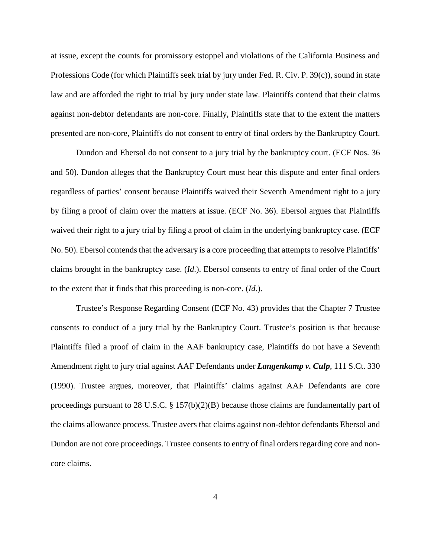at issue, except the counts for promissory estoppel and violations of the California Business and Professions Code (for which Plaintiffs seek trial by jury under Fed. R. Civ. P. 39(c)), sound in state law and are afforded the right to trial by jury under state law. Plaintiffs contend that their claims against non-debtor defendants are non-core. Finally, Plaintiffs state that to the extent the matters presented are non-core, Plaintiffs do not consent to entry of final orders by the Bankruptcy Court.

Dundon and Ebersol do not consent to a jury trial by the bankruptcy court. (ECF Nos. 36 and 50). Dundon alleges that the Bankruptcy Court must hear this dispute and enter final orders regardless of parties' consent because Plaintiffs waived their Seventh Amendment right to a jury by filing a proof of claim over the matters at issue. (ECF No. 36). Ebersol argues that Plaintiffs waived their right to a jury trial by filing a proof of claim in the underlying bankruptcy case. (ECF No. 50). Ebersol contends that the adversary is a core proceeding that attempts to resolve Plaintiffs' claims brought in the bankruptcy case. (*Id*.). Ebersol consents to entry of final order of the Court to the extent that it finds that this proceeding is non-core. (*Id*.).

Trustee's Response Regarding Consent (ECF No. 43) provides that the Chapter 7 Trustee consents to conduct of a jury trial by the Bankruptcy Court. Trustee's position is that because Plaintiffs filed a proof of claim in the AAF bankruptcy case, Plaintiffs do not have a Seventh Amendment right to jury trial against AAF Defendants under *Langenkamp v. Culp*, 111 S.Ct. 330 (1990). Trustee argues, moreover, that Plaintiffs' claims against AAF Defendants are core proceedings pursuant to 28 U.S.C. § 157(b)(2)(B) because those claims are fundamentally part of the claims allowance process. Trustee avers that claims against non-debtor defendants Ebersol and Dundon are not core proceedings. Trustee consents to entry of final orders regarding core and noncore claims.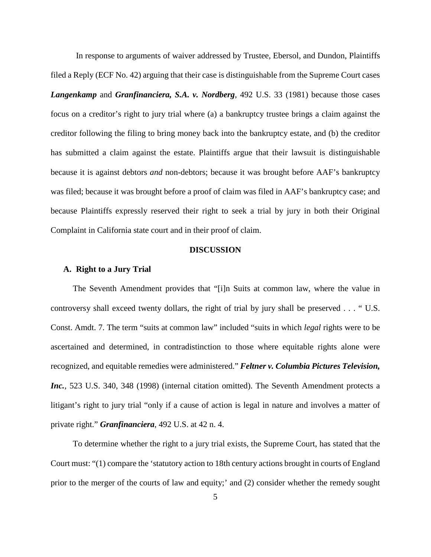In response to arguments of waiver addressed by Trustee, Ebersol, and Dundon, Plaintiffs filed a Reply (ECF No. 42) arguing that their case is distinguishable from the Supreme Court cases *Langenkamp* and *Granfinanciera, S.A. v. Nordberg*, 492 U.S. 33 (1981) because those cases focus on a creditor's right to jury trial where (a) a bankruptcy trustee brings a claim against the creditor following the filing to bring money back into the bankruptcy estate, and (b) the creditor has submitted a claim against the estate. Plaintiffs argue that their lawsuit is distinguishable because it is against debtors *and* non-debtors; because it was brought before AAF's bankruptcy was filed; because it was brought before a proof of claim was filed in AAF's bankruptcy case; and because Plaintiffs expressly reserved their right to seek a trial by jury in both their Original Complaint in California state court and in their proof of claim.

## **DISCUSSION**

## **A. Right to a Jury Trial**

The Seventh Amendment provides that "[i]n Suits at common law, where the value in controversy shall exceed twenty dollars, the right of trial by jury shall be preserved . . . " U.S. Const. Amdt. 7. The term "suits at common law" included "suits in which *legal* rights were to be ascertained and determined, in contradistinction to those where equitable rights alone were recognized, and equitable remedies were administered." *Feltner v. Columbia Pictures Television, Inc.*, 523 U.S. 340, 348 (1998) (internal citation omitted). The Seventh Amendment protects a litigant's right to jury trial "only if a cause of action is legal in nature and involves a matter of private right." *Granfinanciera*, 492 U.S. at 42 n. 4.

To determine whether the right to a jury trial exists, the Supreme Court, has stated that the Court must: "(1) compare the 'statutory action to 18th century actions brought in courts of England prior to the merger of the courts of law and equity;' and (2) consider whether the remedy sought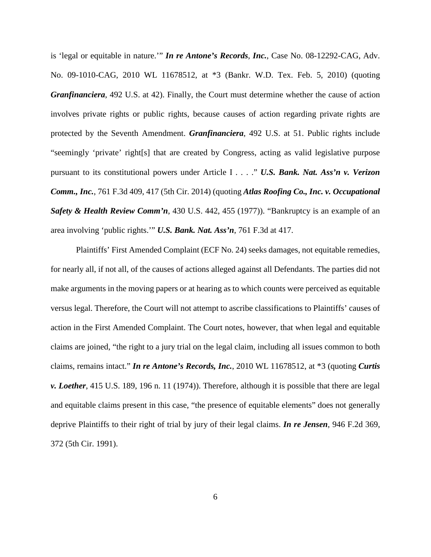is 'legal or equitable in nature.'" *In re Antone's Records*, *Inc.*, Case No. 08-12292-CAG, Adv. No. 09-1010-CAG, 2010 WL 11678512, at \*3 (Bankr. W.D. Tex. Feb. 5, 2010) (quoting *Granfinanciera*, 492 U.S. at 42). Finally, the Court must determine whether the cause of action involves private rights or public rights, because causes of action regarding private rights are protected by the Seventh Amendment. *Granfinanciera*, 492 U.S. at 51. Public rights include "seemingly 'private' right[s] that are created by Congress, acting as valid legislative purpose pursuant to its constitutional powers under Article I . . . ." *U.S. Bank. Nat. Ass'n v. Verizon Comm., Inc.*, 761 F.3d 409, 417 (5th Cir. 2014) (quoting *Atlas Roofing Co., Inc. v. Occupational Safety & Health Review Comm'n*, 430 U.S. 442, 455 (1977)). "Bankruptcy is an example of an area involving 'public rights.'" *U.S. Bank. Nat. Ass'n*, 761 F.3d at 417.

Plaintiffs' First Amended Complaint (ECF No. 24) seeks damages, not equitable remedies, for nearly all, if not all, of the causes of actions alleged against all Defendants. The parties did not make arguments in the moving papers or at hearing as to which counts were perceived as equitable versus legal. Therefore, the Court will not attempt to ascribe classifications to Plaintiffs' causes of action in the First Amended Complaint. The Court notes, however, that when legal and equitable claims are joined, "the right to a jury trial on the legal claim, including all issues common to both claims, remains intact." *In re Antone's Records, Inc.*, 2010 WL 11678512, at \*3 (quoting *Curtis v. Loether*, 415 U.S. 189, 196 n. 11 (1974)). Therefore, although it is possible that there are legal and equitable claims present in this case, "the presence of equitable elements" does not generally deprive Plaintiffs to their right of trial by jury of their legal claims. *In re Jensen*, 946 F.2d 369, 372 (5th Cir. 1991).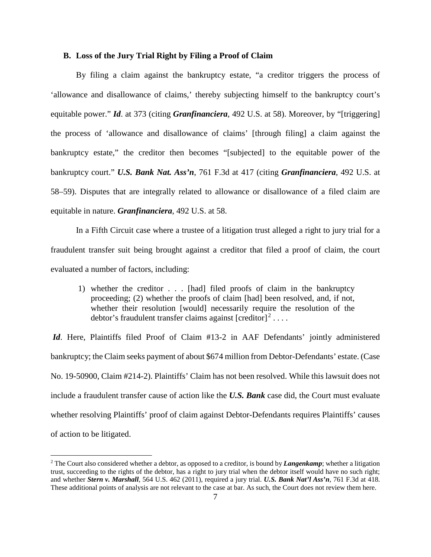## **B. Loss of the Jury Trial Right by Filing a Proof of Claim**

By filing a claim against the bankruptcy estate, "a creditor triggers the process of 'allowance and disallowance of claims,' thereby subjecting himself to the bankruptcy court's equitable power." *Id*. at 373 (citing *Granfinanciera*, 492 U.S. at 58). Moreover, by "[triggering] the process of 'allowance and disallowance of claims' [through filing] a claim against the bankruptcy estate," the creditor then becomes "[subjected] to the equitable power of the bankruptcy court." *U.S. Bank Nat. Ass'n*, 761 F.3d at 417 (citing *Granfinanciera*, 492 U.S. at 58–59). Disputes that are integrally related to allowance or disallowance of a filed claim are equitable in nature. *Granfinanciera*, 492 U.S. at 58.

In a Fifth Circuit case where a trustee of a litigation trust alleged a right to jury trial for a fraudulent transfer suit being brought against a creditor that filed a proof of claim, the court evaluated a number of factors, including:

1) whether the creditor . . . [had] filed proofs of claim in the bankruptcy proceeding; (2) whether the proofs of claim [had] been resolved, and, if not, whether their resolution [would] necessarily require the resolution of the debtor's fraudulent transfer claims against [creditor] $^{2} \cdots$ 

*Id*. Here, Plaintiffs filed Proof of Claim #13-2 in AAF Defendants' jointly administered bankruptcy; the Claim seeks payment of about \$674 million from Debtor-Defendants' estate. (Case No. 19-50900, Claim #214-2). Plaintiffs' Claim has not been resolved. While this lawsuit does not include a fraudulent transfer cause of action like the *U.S. Bank* case did, the Court must evaluate whether resolving Plaintiffs' proof of claim against Debtor-Defendants requires Plaintiffs' causes of action to be litigated.

 <sup>2</sup> The Court also considered whether a debtor, as opposed to a creditor, is bound by *Langenkamp*; whether a litigation trust, succeeding to the rights of the debtor, has a right to jury trial when the debtor itself would have no such right; and whether *Stern v. Marshall*, 564 U.S. 462 (2011), required a jury trial. *U.S. Bank Nat'l Ass'n*, 761 F.3d at 418. These additional points of analysis are not relevant to the case at bar. As such, the Court does not review them here.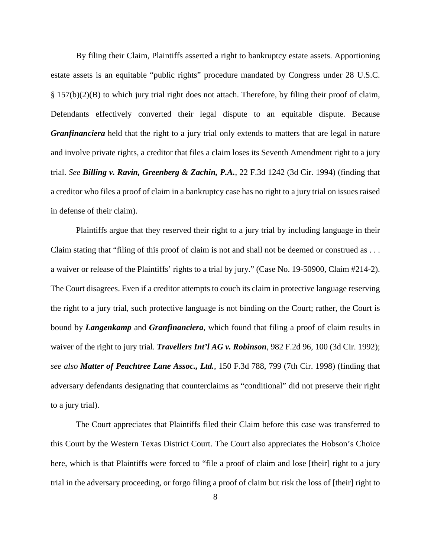By filing their Claim, Plaintiffs asserted a right to bankruptcy estate assets. Apportioning estate assets is an equitable "public rights" procedure mandated by Congress under 28 U.S.C. § 157(b)(2)(B) to which jury trial right does not attach. Therefore, by filing their proof of claim, Defendants effectively converted their legal dispute to an equitable dispute. Because *Granfinanciera* held that the right to a jury trial only extends to matters that are legal in nature and involve private rights, a creditor that files a claim loses its Seventh Amendment right to a jury trial. *See Billing v. Ravin, Greenberg & Zachin, P.A.*, 22 F.3d 1242 (3d Cir. 1994) (finding that a creditor who files a proof of claim in a bankruptcy case has no right to a jury trial on issues raised in defense of their claim).

Plaintiffs argue that they reserved their right to a jury trial by including language in their Claim stating that "filing of this proof of claim is not and shall not be deemed or construed as . . . a waiver or release of the Plaintiffs' rights to a trial by jury." (Case No. 19-50900, Claim #214-2). The Court disagrees. Even if a creditor attempts to couch its claim in protective language reserving the right to a jury trial, such protective language is not binding on the Court; rather, the Court is bound by *Langenkamp* and *Granfinanciera*, which found that filing a proof of claim results in waiver of the right to jury trial. *Travellers Int'l AG v. Robinson*, 982 F.2d 96, 100 (3d Cir. 1992); *see also Matter of Peachtree Lane Assoc., Ltd.*, 150 F.3d 788, 799 (7th Cir. 1998) (finding that adversary defendants designating that counterclaims as "conditional" did not preserve their right to a jury trial).

The Court appreciates that Plaintiffs filed their Claim before this case was transferred to this Court by the Western Texas District Court. The Court also appreciates the Hobson's Choice here, which is that Plaintiffs were forced to "file a proof of claim and lose [their] right to a jury trial in the adversary proceeding, or forgo filing a proof of claim but risk the loss of [their] right to